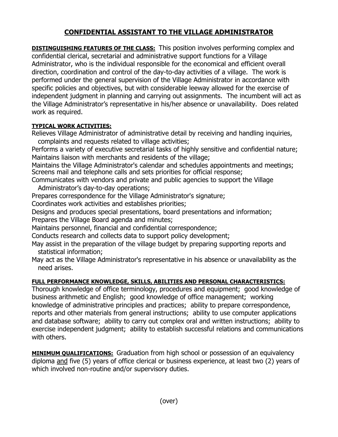## **CONFIDENTIAL ASSISTANT TO THE VILLAGE ADMINISTRATOR**

**DISTINGUISHING FEATURES OF THE CLASS:** This position involves performing complex and confidential clerical, secretarial and administrative support functions for a Village Administrator, who is the individual responsible for the economical and efficient overall direction, coordination and control of the day-to-day activities of a village. The work is performed under the general supervision of the Village Administrator in accordance with specific policies and objectives, but with considerable leeway allowed for the exercise of independent judgment in planning and carrying out assignments. The incumbent will act as the Village Administrator's representative in his/her absence or unavailability. Does related work as required.

## **TYPICAL WORK ACTIVITIES:**

Relieves Village Administrator of administrative detail by receiving and handling inquiries, complaints and requests related to village activities;

Performs a variety of executive secretarial tasks of highly sensitive and confidential nature; Maintains liaison with merchants and residents of the village;

Maintains the Village Administrator's calendar and schedules appointments and meetings; Screens mail and telephone calls and sets priorities for official response;

Communicates with vendors and private and public agencies to support the Village Administrator's day-to-day operations;

Prepares correspondence for the Village Administrator's signature;

Coordinates work activities and establishes priorities;

Designs and produces special presentations, board presentations and information;

Prepares the Village Board agenda and minutes;

Maintains personnel, financial and confidential correspondence;

Conducts research and collects data to support policy development;

- May assist in the preparation of the village budget by preparing supporting reports and statistical information;
- May act as the Village Administrator's representative in his absence or unavailability as the need arises.

## **FULL PERFORMANCE KNOWLEDGE, SKILLS, ABILITIES AND PERSONAL CHARACTERISTICS:**

Thorough knowledge of office terminology, procedures and equipment; good knowledge of business arithmetic and English; good knowledge of office management; working knowledge of administrative principles and practices; ability to prepare correspondence, reports and other materials from general instructions; ability to use computer applications and database software; ability to carry out complex oral and written instructions; ability to exercise independent judgment; ability to establish successful relations and communications with others.

**MINIMUM QUALIFICATIONS:** Graduation from high school or possession of an equivalency diploma and five (5) years of office clerical or business experience, at least two (2) years of which involved non-routine and/or supervisory duties.